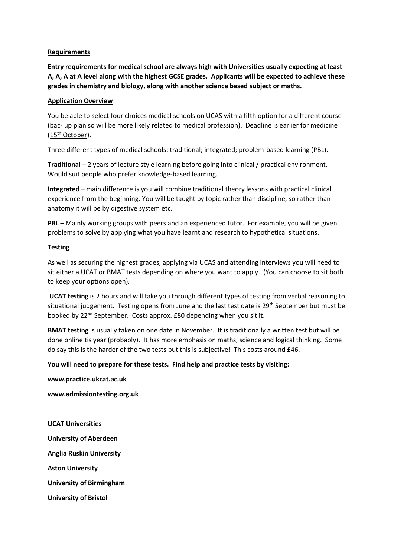# **Requirements**

**Entry requirements for medical school are always high with Universities usually expecting at least A, A, A at A level along with the highest GCSE grades. Applicants will be expected to achieve these grades in chemistry and biology, along with another science based subject or maths.** 

# **Application Overview**

You be able to select four choices medical schools on UCAS with a fifth option for a different course (bac- up plan so will be more likely related to medical profession). Deadline is earlier for medicine (15th October).

Three different types of medical schools: traditional; integrated; problem-based learning (PBL).

**Traditional** – 2 years of lecture style learning before going into clinical / practical environment. Would suit people who prefer knowledge-based learning.

**Integrated** – main difference is you will combine traditional theory lessons with practical clinical experience from the beginning. You will be taught by topic rather than discipline, so rather than anatomy it will be by digestive system etc.

**PBL** – Mainly working groups with peers and an experienced tutor. For example, you will be given problems to solve by applying what you have learnt and research to hypothetical situations.

# **Testing**

As well as securing the highest grades, applying via UCAS and attending interviews you will need to sit either a UCAT or BMAT tests depending on where you want to apply. (You can choose to sit both to keep your options open).

**UCAT testing** is 2 hours and will take you through different types of testing from verbal reasoning to situational judgement. Testing opens from June and the last test date is 29<sup>th</sup> September but must be booked by 22<sup>nd</sup> September. Costs approx. £80 depending when you sit it.

**BMAT testing** is usually taken on one date in November. It is traditionally a written test but will be done online tis year (probably). It has more emphasis on maths, science and logical thinking. Some do say this is the harder of the two tests but this is subjective! This costs around £46.

### **You will need to prepare for these tests. Find help and practice tests by visiting:**

**www.practice.ukcat.ac.uk** 

**www.admissiontesting.org.uk**

### **UCAT Universities**

**University of Aberdeen**

**Anglia Ruskin University**

**Aston University**

**University of Birmingham**

**University of Bristol**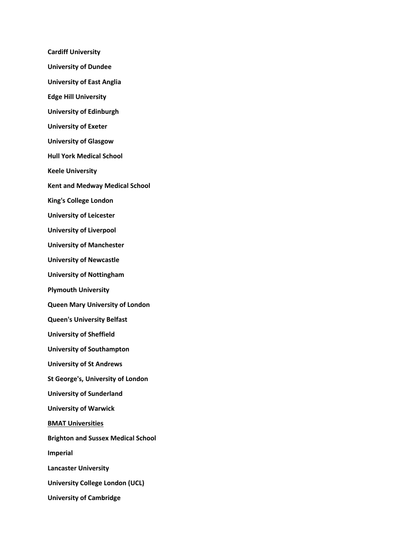**Cardiff University University of Dundee University of East Anglia Edge Hill University University of Edinburgh University of Exeter University of Glasgow Hull York Medical School Keele University Kent and Medway Medical School King's College London University of Leicester University of Liverpool University of Manchester University of Newcastle University of Nottingham Plymouth University Queen Mary University of London Queen's University Belfast University of Sheffield University of Southampton University of St Andrews St George's, University of London University of Sunderland University of Warwick BMAT Universities Brighton and Sussex Medical School Imperial Lancaster University University College London (UCL) University of Cambridge**